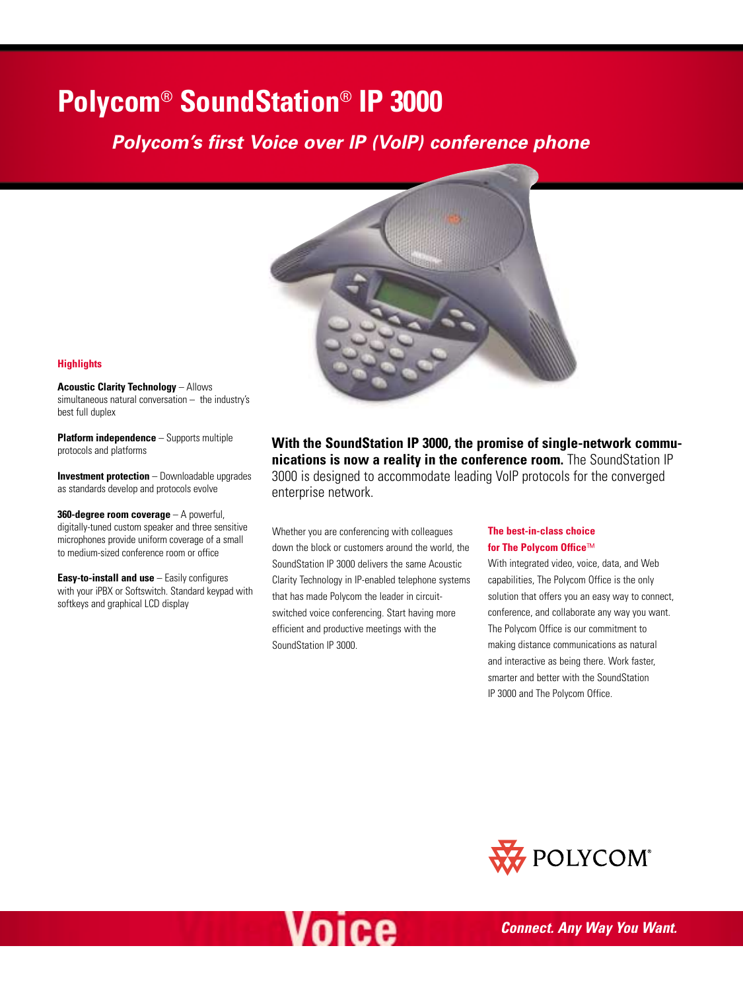## **Polycom**® **SoundStation**® **IP 3000**

## *Polycom's first Voice over IP (VoIP) conference phone*



#### **Highlights**

**Acoustic Clarity Technology** – Allows simultaneous natural conversation – the industry's best full duplex

**Platform independence** – Supports multiple protocols and platforms

**Investment protection** – Downloadable upgrades as standards develop and protocols evolve

**360-degree room coverage** – A powerful, digitally-tuned custom speaker and three sensitive microphones provide uniform coverage of a small to medium-sized conference room or office

**Easy-to-install and use** – Easily configures with your iPBX or Softswitch. Standard keypad with softkeys and graphical LCD display

**With the SoundStation IP 3000, the promise of single-network communications is now a reality in the conference room.** The SoundStation IP 3000 is designed to accommodate leading VoIP protocols for the converged enterprise network.

Whether you are conferencing with colleagues down the block or customers around the world, the SoundStation IP 3000 delivers the same Acoustic Clarity Technology in IP-enabled telephone systems that has made Polycom the leader in circuitswitched voice conferencing. Start having more efficient and productive meetings with the SoundStation IP 3000.

#### **The best-in-class choice for The Polycom Office**™

With integrated video, voice, data, and Web capabilities, The Polycom Office is the only solution that offers you an easy way to connect, conference, and collaborate any way you want. The Polycom Office is our commitment to making distance communications as natural and interactive as being there. Work faster, smarter and better with the SoundStation IP 3000 and The Polycom Office.



# Voice

*Connect. Any Way You Want.*